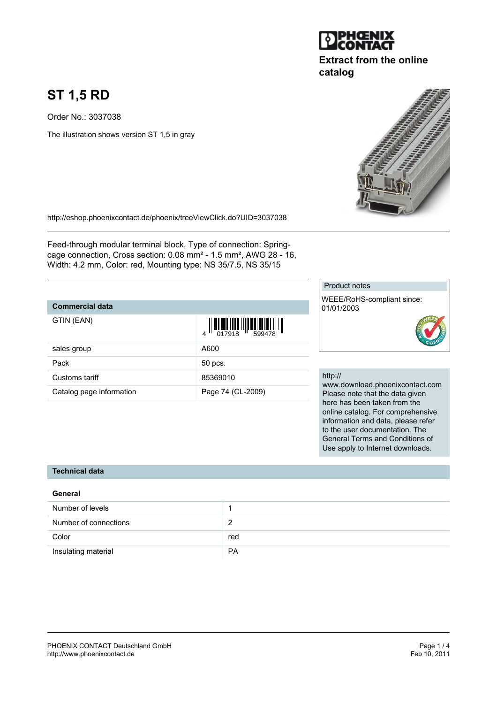# **ST 1,5 RD**

Order No.: 3037038

The illustration shows version ST 1,5 in gray

<http://eshop.phoenixcontact.de/phoenix/treeViewClick.do?UID=3037038>

Feed-through modular terminal block, Type of connection: Springcage connection, Cross section: 0.08 mm² - 1.5 mm², AWG 28 - 16, Width: 4.2 mm, Color: red, Mounting type: NS 35/7.5, NS 35/15

## **Commercial data**

| GTIN (EAN)               |                   |
|--------------------------|-------------------|
| sales group              | A600              |
| Pack                     | 50 pcs.           |
| Customs tariff           | 85369010          |
| Catalog page information | Page 74 (CL-2009) |

### Product notes

WEEE/RoHS-compliant since: 01/01/2003



#### http://

www.download.phoenixcontact.com Please note that the data given here has been taken from the online catalog. For comprehensive information and data, please refer to the user documentation. The General Terms and Conditions of Use apply to Internet downloads.

## **Technical data**

## **General**

| Number of levels      |           |
|-----------------------|-----------|
| Number of connections | ົ         |
| Color                 | red       |
| Insulating material   | <b>PA</b> |



**catalog**

**Extract from the online**

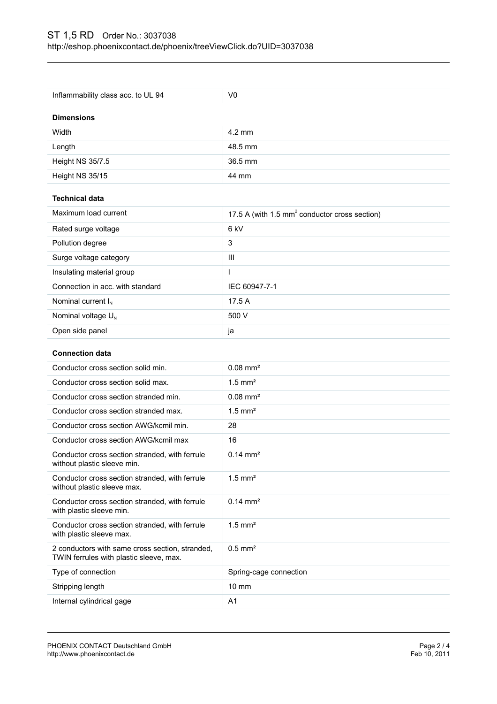| Inflammability class acc. to UL 94                                                         | V <sub>0</sub>                                            |  |
|--------------------------------------------------------------------------------------------|-----------------------------------------------------------|--|
| <b>Dimensions</b>                                                                          |                                                           |  |
| Width                                                                                      | $4.2 \text{ mm}$                                          |  |
| Length                                                                                     | 48.5 mm                                                   |  |
| Height NS 35/7.5                                                                           | 36.5 mm                                                   |  |
| Height NS 35/15                                                                            | 44 mm                                                     |  |
| <b>Technical data</b>                                                                      |                                                           |  |
| Maximum load current                                                                       | 17.5 A (with 1.5 mm <sup>2</sup> conductor cross section) |  |
| Rated surge voltage                                                                        | 6 kV                                                      |  |
| Pollution degree                                                                           | 3                                                         |  |
| Surge voltage category                                                                     | III                                                       |  |
| Insulating material group                                                                  | L                                                         |  |
| Connection in acc. with standard                                                           | IEC 60947-7-1                                             |  |
| Nominal current $I_N$                                                                      | 17.5 A                                                    |  |
| Nominal voltage U <sub>N</sub>                                                             | 500 V                                                     |  |
| Open side panel                                                                            | ja                                                        |  |
|                                                                                            |                                                           |  |
|                                                                                            |                                                           |  |
| <b>Connection data</b>                                                                     |                                                           |  |
| Conductor cross section solid min.                                                         | $0.08$ mm <sup>2</sup>                                    |  |
| Conductor cross section solid max.                                                         | $1.5$ mm <sup>2</sup>                                     |  |
| Conductor cross section stranded min.                                                      | $0.08$ mm <sup>2</sup>                                    |  |
| Conductor cross section stranded max.                                                      | $1.5$ mm <sup>2</sup>                                     |  |
| Conductor cross section AWG/kcmil min.                                                     | 28                                                        |  |
| Conductor cross section AWG/kcmil max                                                      | 16                                                        |  |
| Conductor cross section stranded, with ferrule<br>without plastic sleeve min.              | $0.14 \, \text{mm}^2$                                     |  |
| Conductor cross section stranded, with ferrule<br>without plastic sleeve max.              | $1.5$ mm <sup>2</sup>                                     |  |
| Conductor cross section stranded, with ferrule<br>with plastic sleeve min.                 | $0.14 \, \text{mm}^2$                                     |  |
| Conductor cross section stranded, with ferrule<br>with plastic sleeve max.                 | $1.5$ mm <sup>2</sup>                                     |  |
| 2 conductors with same cross section, stranded,<br>TWIN ferrules with plastic sleeve, max. | $0.5$ mm <sup>2</sup>                                     |  |
| Type of connection                                                                         | Spring-cage connection                                    |  |
| Stripping length                                                                           | $10 \text{ mm}$                                           |  |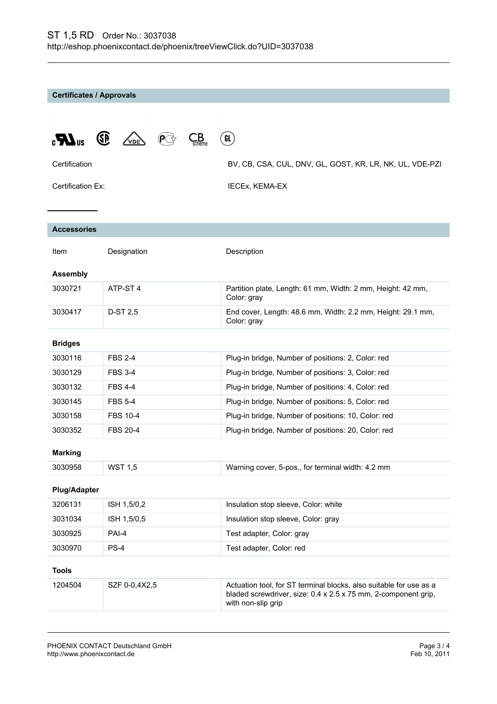**Certificates / Approvals**

| $\mathbf{M}$ <sup>18</sup> | (SP)<br>$\mathcal{L}_{\mathsf{scheme}}$<br>.<br>VDE | GL                                                                                                                                                         |  |
|----------------------------|-----------------------------------------------------|------------------------------------------------------------------------------------------------------------------------------------------------------------|--|
| Certification              |                                                     | BV, CB, CSA, CUL, DNV, GL, GOST, KR, LR, NK, UL, VDE-PZI                                                                                                   |  |
| Certification Ex:          |                                                     | IECEx, KEMA-EX                                                                                                                                             |  |
|                            |                                                     |                                                                                                                                                            |  |
| <b>Accessories</b>         |                                                     |                                                                                                                                                            |  |
| Item                       | Designation                                         | Description                                                                                                                                                |  |
| <b>Assembly</b>            |                                                     |                                                                                                                                                            |  |
| 3030721                    | ATP-ST <sub>4</sub>                                 | Partition plate, Length: 61 mm, Width: 2 mm, Height: 42 mm,<br>Color: gray                                                                                 |  |
| 3030417                    | D-ST 2,5                                            | End cover, Length: 48.6 mm, Width: 2.2 mm, Height: 29.1 mm,<br>Color: gray                                                                                 |  |
| <b>Bridges</b>             |                                                     |                                                                                                                                                            |  |
| 3030116                    | <b>FBS 2-4</b>                                      | Plug-in bridge, Number of positions: 2, Color: red                                                                                                         |  |
| 3030129                    | <b>FBS 3-4</b>                                      | Plug-in bridge, Number of positions: 3, Color: red                                                                                                         |  |
| 3030132                    | <b>FBS 4-4</b>                                      | Plug-in bridge, Number of positions: 4, Color: red                                                                                                         |  |
| 3030145                    | <b>FBS 5-4</b>                                      | Plug-in bridge, Number of positions: 5, Color: red                                                                                                         |  |
| 3030158                    | <b>FBS 10-4</b>                                     | Plug-in bridge, Number of positions: 10, Color: red                                                                                                        |  |
| 3030352                    | <b>FBS 20-4</b>                                     | Plug-in bridge, Number of positions: 20, Color: red                                                                                                        |  |
| <b>Marking</b>             |                                                     |                                                                                                                                                            |  |
| 3030958                    | <b>WST 1,5</b>                                      | Warning cover, 5-pos., for terminal width: 4.2 mm                                                                                                          |  |
| <b>Plug/Adapter</b>        |                                                     |                                                                                                                                                            |  |
| 3206131                    | ISH 1,5/0,2                                         | Insulation stop sleeve, Color: white                                                                                                                       |  |
| 3031034                    | ISH 1,5/0,5                                         | Insulation stop sleeve, Color: gray                                                                                                                        |  |
| 3030925                    | PAI-4                                               | Test adapter, Color: gray                                                                                                                                  |  |
| 3030970                    | PS-4                                                | Test adapter, Color: red                                                                                                                                   |  |
| <b>Tools</b>               |                                                     |                                                                                                                                                            |  |
| 1204504                    | SZF 0-0,4X2,5                                       | Actuation tool, for ST terminal blocks, also suitable for use as a<br>bladed screwdriver, size: 0.4 x 2.5 x 75 mm, 2-component grip,<br>with non-slip grip |  |